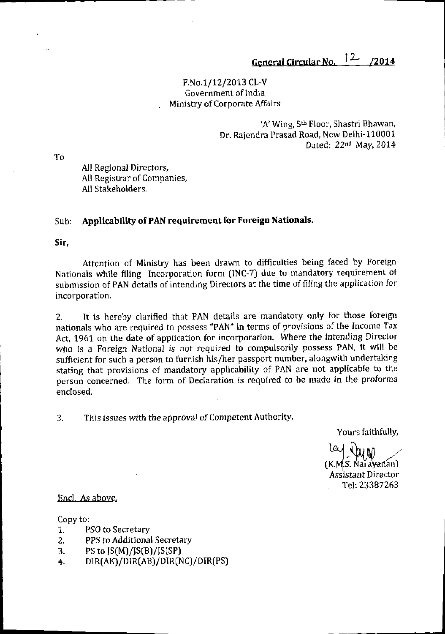## F.No.1/12/2013 CL-V Government of India **Ministry of Corporate Affairs**

'A' Wing, 5<sup>th</sup> Floor, Shastri Bhawan, Dr. Raiendra Prasad Road, New Delhi-110001 Dated: 22<sup>nd</sup> May, 2014

To

All Regional Directors, All Registrar of Companies, All Stakeholders.

## Sub: Applicability of PAN requirement for Foreign Nationals.

Sir,

Attention of Ministry has been drawn to diffrculties being faced by Foreign Nationals while filing Incorporation form (INC-7) due to mandatory requirement of submission of PAN details of intending Directors at the time of filing the application for incorporation.

2. It is hereby clarified that PAN details are mandatory only for those foreign nationals who are required to possess "PAN" in terms of provisions of the Income Tax Act, 1961 on the date of application for incorporation. Where the intending Director who is a Foreign National is not required to compulsorily possess PAN, it will be sufficient for such a person to furnish his/her passport number, alongwith undertaking stating that provisions of mandatory applicability of PAN are not applicable to the person concerned. The form of Declaration is required to be made in the proforma enclosed.

3. This issues with the approval of Competent Authority.

Yours faithfully,

 $\omega$   $\omega$   $\omega$ 

(K.M<mark>.S. Nara<del>yan</del>an)</mark> Assistant Director Tel:233B7263

## Encl. As above.

Copy to:

- 1. PSO to Secretary
- 
- 2. PPS to Additional Secretary<br>3. PS to JS(M)/JS(B)/JS(SP)
- 4. DIR(AK)/DIR(AB)/DIR(NC)/DIR(PS)